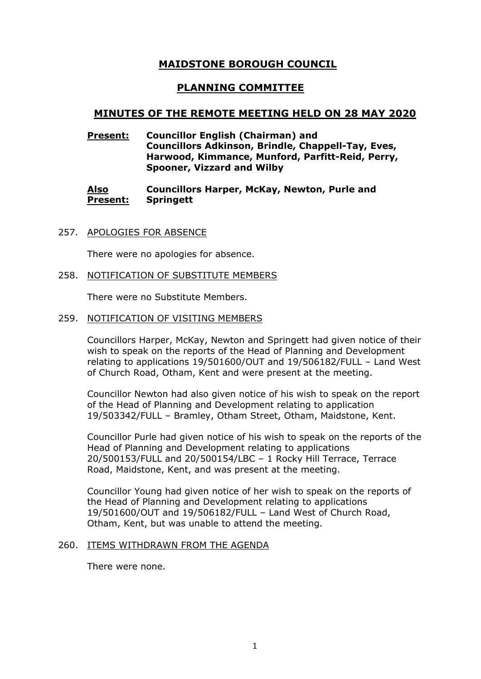# **MAIDSTONE BOROUGH COUNCIL**

# **PLANNING COMMITTEE**

# **MINUTES OF THE REMOTE MEETING HELD ON 28 MAY 2020**

**Present: Councillor English (Chairman) and Councillors Adkinson, Brindle, Chappell-Tay, Eves, Harwood, Kimmance, Munford, Parfitt-Reid, Perry, Spooner, Vizzard and Wilby**

#### **Also Present: Councillors Harper, McKay, Newton, Purle and Springett**

257. APOLOGIES FOR ABSENCE

There were no apologies for absence.

258. NOTIFICATION OF SUBSTITUTE MEMBERS

There were no Substitute Members.

259. NOTIFICATION OF VISITING MEMBERS

Councillors Harper, McKay, Newton and Springett had given notice of their wish to speak on the reports of the Head of Planning and Development relating to applications 19/501600/OUT and 19/506182/FULL – Land West of Church Road, Otham, Kent and were present at the meeting.

Councillor Newton had also given notice of his wish to speak on the report of the Head of Planning and Development relating to application 19/503342/FULL – Bramley, Otham Street, Otham, Maidstone, Kent.

Councillor Purle had given notice of his wish to speak on the reports of the Head of Planning and Development relating to applications 20/500153/FULL and 20/500154/LBC – 1 Rocky Hill Terrace, Terrace Road, Maidstone, Kent, and was present at the meeting.

Councillor Young had given notice of her wish to speak on the reports of the Head of Planning and Development relating to applications 19/501600/OUT and 19/506182/FULL – Land West of Church Road, Otham, Kent, but was unable to attend the meeting.

#### 260. ITEMS WITHDRAWN FROM THE AGENDA

There were none.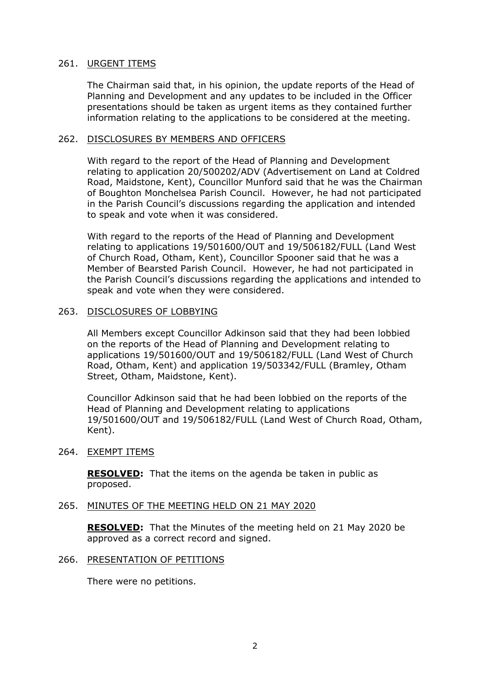### 261. URGENT ITEMS

The Chairman said that, in his opinion, the update reports of the Head of Planning and Development and any updates to be included in the Officer presentations should be taken as urgent items as they contained further information relating to the applications to be considered at the meeting.

#### 262. DISCLOSURES BY MEMBERS AND OFFICERS

With regard to the report of the Head of Planning and Development relating to application 20/500202/ADV (Advertisement on Land at Coldred Road, Maidstone, Kent), Councillor Munford said that he was the Chairman of Boughton Monchelsea Parish Council. However, he had not participated in the Parish Council's discussions regarding the application and intended to speak and vote when it was considered.

With regard to the reports of the Head of Planning and Development relating to applications 19/501600/OUT and 19/506182/FULL (Land West of Church Road, Otham, Kent), Councillor Spooner said that he was a Member of Bearsted Parish Council. However, he had not participated in the Parish Council's discussions regarding the applications and intended to speak and vote when they were considered.

#### 263. DISCLOSURES OF LOBBYING

All Members except Councillor Adkinson said that they had been lobbied on the reports of the Head of Planning and Development relating to applications 19/501600/OUT and 19/506182/FULL (Land West of Church Road, Otham, Kent) and application 19/503342/FULL (Bramley, Otham Street, Otham, Maidstone, Kent).

Councillor Adkinson said that he had been lobbied on the reports of the Head of Planning and Development relating to applications 19/501600/OUT and 19/506182/FULL (Land West of Church Road, Otham, Kent).

### 264. EXEMPT ITEMS

**RESOLVED:** That the items on the agenda be taken in public as proposed.

### 265. MINUTES OF THE MEETING HELD ON 21 MAY 2020

**RESOLVED:** That the Minutes of the meeting held on 21 May 2020 be approved as a correct record and signed.

#### 266. PRESENTATION OF PETITIONS

There were no petitions.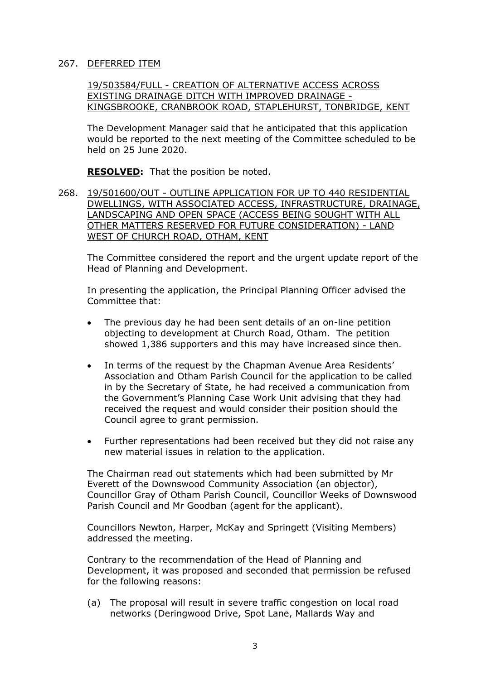## 267. DEFERRED ITEM

19/503584/FULL - CREATION OF ALTERNATIVE ACCESS ACROSS EXISTING DRAINAGE DITCH WITH IMPROVED DRAINAGE - KINGSBROOKE, CRANBROOK ROAD, STAPLEHURST, TONBRIDGE, KENT

The Development Manager said that he anticipated that this application would be reported to the next meeting of the Committee scheduled to be held on 25 June 2020.

**RESOLVED:** That the position be noted.

268. 19/501600/OUT - OUTLINE APPLICATION FOR UP TO 440 RESIDENTIAL DWELLINGS, WITH ASSOCIATED ACCESS, INFRASTRUCTURE, DRAINAGE, LANDSCAPING AND OPEN SPACE (ACCESS BEING SOUGHT WITH ALL OTHER MATTERS RESERVED FOR FUTURE CONSIDERATION) - LAND WEST OF CHURCH ROAD, OTHAM, KENT

The Committee considered the report and the urgent update report of the Head of Planning and Development.

In presenting the application, the Principal Planning Officer advised the Committee that:

- The previous day he had been sent details of an on-line petition objecting to development at Church Road, Otham. The petition showed 1,386 supporters and this may have increased since then.
- In terms of the request by the Chapman Avenue Area Residents' Association and Otham Parish Council for the application to be called in by the Secretary of State, he had received a communication from the Government's Planning Case Work Unit advising that they had received the request and would consider their position should the Council agree to grant permission.
- Further representations had been received but they did not raise any new material issues in relation to the application.

The Chairman read out statements which had been submitted by Mr Everett of the Downswood Community Association (an objector), Councillor Gray of Otham Parish Council, Councillor Weeks of Downswood Parish Council and Mr Goodban (agent for the applicant).

Councillors Newton, Harper, McKay and Springett (Visiting Members) addressed the meeting.

Contrary to the recommendation of the Head of Planning and Development, it was proposed and seconded that permission be refused for the following reasons:

(a) The proposal will result in severe traffic congestion on local road networks (Deringwood Drive, Spot Lane, Mallards Way and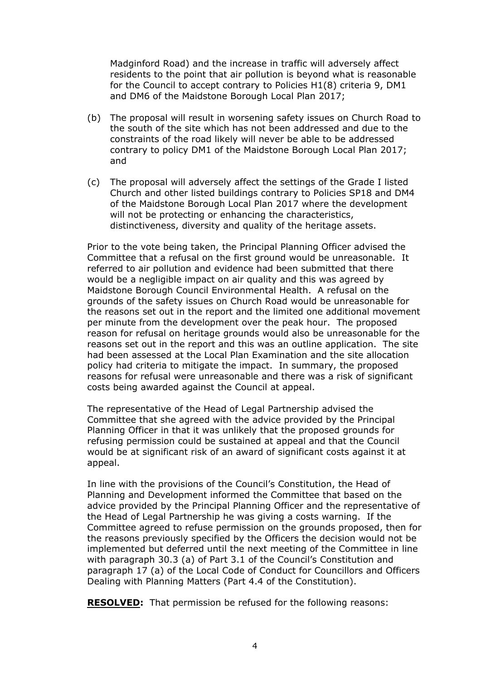Madginford Road) and the increase in traffic will adversely affect residents to the point that air pollution is beyond what is reasonable for the Council to accept contrary to Policies H1(8) criteria 9, DM1 and DM6 of the Maidstone Borough Local Plan 2017;

- (b) The proposal will result in worsening safety issues on Church Road to the south of the site which has not been addressed and due to the constraints of the road likely will never be able to be addressed contrary to policy DM1 of the Maidstone Borough Local Plan 2017; and
- (c) The proposal will adversely affect the settings of the Grade I listed Church and other listed buildings contrary to Policies SP18 and DM4 of the Maidstone Borough Local Plan 2017 where the development will not be protecting or enhancing the characteristics, distinctiveness, diversity and quality of the heritage assets.

Prior to the vote being taken, the Principal Planning Officer advised the Committee that a refusal on the first ground would be unreasonable. It referred to air pollution and evidence had been submitted that there would be a negligible impact on air quality and this was agreed by Maidstone Borough Council Environmental Health. A refusal on the grounds of the safety issues on Church Road would be unreasonable for the reasons set out in the report and the limited one additional movement per minute from the development over the peak hour. The proposed reason for refusal on heritage grounds would also be unreasonable for the reasons set out in the report and this was an outline application. The site had been assessed at the Local Plan Examination and the site allocation policy had criteria to mitigate the impact. In summary, the proposed reasons for refusal were unreasonable and there was a risk of significant costs being awarded against the Council at appeal.

The representative of the Head of Legal Partnership advised the Committee that she agreed with the advice provided by the Principal Planning Officer in that it was unlikely that the proposed grounds for refusing permission could be sustained at appeal and that the Council would be at significant risk of an award of significant costs against it at appeal.

In line with the provisions of the Council's Constitution, the Head of Planning and Development informed the Committee that based on the advice provided by the Principal Planning Officer and the representative of the Head of Legal Partnership he was giving a costs warning. If the Committee agreed to refuse permission on the grounds proposed, then for the reasons previously specified by the Officers the decision would not be implemented but deferred until the next meeting of the Committee in line with paragraph 30.3 (a) of Part 3.1 of the Council's Constitution and paragraph 17 (a) of the Local Code of Conduct for Councillors and Officers Dealing with Planning Matters (Part 4.4 of the Constitution).

**RESOLVED:** That permission be refused for the following reasons: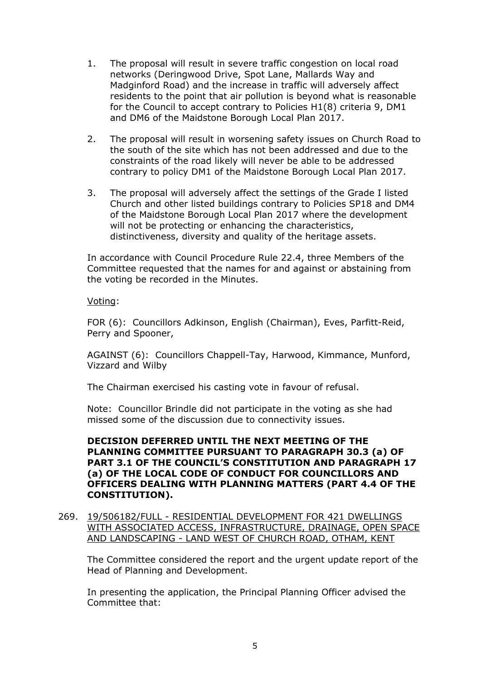- 1. The proposal will result in severe traffic congestion on local road networks (Deringwood Drive, Spot Lane, Mallards Way and Madginford Road) and the increase in traffic will adversely affect residents to the point that air pollution is beyond what is reasonable for the Council to accept contrary to Policies H1(8) criteria 9, DM1 and DM6 of the Maidstone Borough Local Plan 2017.
- 2. The proposal will result in worsening safety issues on Church Road to the south of the site which has not been addressed and due to the constraints of the road likely will never be able to be addressed contrary to policy DM1 of the Maidstone Borough Local Plan 2017.
- 3. The proposal will adversely affect the settings of the Grade I listed Church and other listed buildings contrary to Policies SP18 and DM4 of the Maidstone Borough Local Plan 2017 where the development will not be protecting or enhancing the characteristics, distinctiveness, diversity and quality of the heritage assets.

In accordance with Council Procedure Rule 22.4, three Members of the Committee requested that the names for and against or abstaining from the voting be recorded in the Minutes.

# Voting:

FOR (6): Councillors Adkinson, English (Chairman), Eves, Parfitt-Reid, Perry and Spooner,

AGAINST (6): Councillors Chappell-Tay, Harwood, Kimmance, Munford, Vizzard and Wilby

The Chairman exercised his casting vote in favour of refusal.

Note: Councillor Brindle did not participate in the voting as she had missed some of the discussion due to connectivity issues.

# **DECISION DEFERRED UNTIL THE NEXT MEETING OF THE PLANNING COMMITTEE PURSUANT TO PARAGRAPH 30.3 (a) OF PART 3.1 OF THE COUNCIL'S CONSTITUTION AND PARAGRAPH 17 (a) OF THE LOCAL CODE OF CONDUCT FOR COUNCILLORS AND OFFICERS DEALING WITH PLANNING MATTERS (PART 4.4 OF THE CONSTITUTION).**

269. 19/506182/FULL - RESIDENTIAL DEVELOPMENT FOR 421 DWELLINGS WITH ASSOCIATED ACCESS, INFRASTRUCTURE, DRAINAGE, OPEN SPACE AND LANDSCAPING - LAND WEST OF CHURCH ROAD, OTHAM, KENT

The Committee considered the report and the urgent update report of the Head of Planning and Development.

In presenting the application, the Principal Planning Officer advised the Committee that: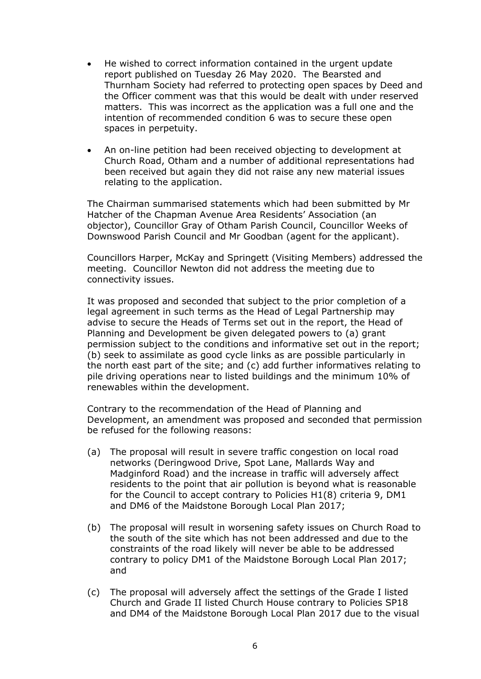- He wished to correct information contained in the urgent update report published on Tuesday 26 May 2020. The Bearsted and Thurnham Society had referred to protecting open spaces by Deed and the Officer comment was that this would be dealt with under reserved matters. This was incorrect as the application was a full one and the intention of recommended condition 6 was to secure these open spaces in perpetuity.
- An on-line petition had been received objecting to development at Church Road, Otham and a number of additional representations had been received but again they did not raise any new material issues relating to the application.

The Chairman summarised statements which had been submitted by Mr Hatcher of the Chapman Avenue Area Residents' Association (an objector), Councillor Gray of Otham Parish Council, Councillor Weeks of Downswood Parish Council and Mr Goodban (agent for the applicant).

Councillors Harper, McKay and Springett (Visiting Members) addressed the meeting. Councillor Newton did not address the meeting due to connectivity issues.

It was proposed and seconded that subject to the prior completion of a legal agreement in such terms as the Head of Legal Partnership may advise to secure the Heads of Terms set out in the report, the Head of Planning and Development be given delegated powers to (a) grant permission subject to the conditions and informative set out in the report; (b) seek to assimilate as good cycle links as are possible particularly in the north east part of the site; and (c) add further informatives relating to pile driving operations near to listed buildings and the minimum 10% of renewables within the development.

Contrary to the recommendation of the Head of Planning and Development, an amendment was proposed and seconded that permission be refused for the following reasons:

- (a) The proposal will result in severe traffic congestion on local road networks (Deringwood Drive, Spot Lane, Mallards Way and Madginford Road) and the increase in traffic will adversely affect residents to the point that air pollution is beyond what is reasonable for the Council to accept contrary to Policies H1(8) criteria 9, DM1 and DM6 of the Maidstone Borough Local Plan 2017;
- (b) The proposal will result in worsening safety issues on Church Road to the south of the site which has not been addressed and due to the constraints of the road likely will never be able to be addressed contrary to policy DM1 of the Maidstone Borough Local Plan 2017; and
- (c) The proposal will adversely affect the settings of the Grade I listed Church and Grade II listed Church House contrary to Policies SP18 and DM4 of the Maidstone Borough Local Plan 2017 due to the visual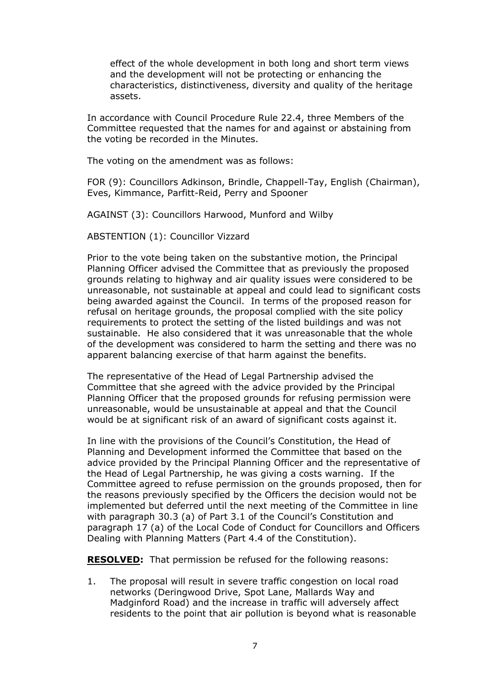effect of the whole development in both long and short term views and the development will not be protecting or enhancing the characteristics, distinctiveness, diversity and quality of the heritage assets.

In accordance with Council Procedure Rule 22.4, three Members of the Committee requested that the names for and against or abstaining from the voting be recorded in the Minutes.

The voting on the amendment was as follows:

FOR (9): Councillors Adkinson, Brindle, Chappell-Tay, English (Chairman), Eves, Kimmance, Parfitt-Reid, Perry and Spooner

AGAINST (3): Councillors Harwood, Munford and Wilby

ABSTENTION (1): Councillor Vizzard

Prior to the vote being taken on the substantive motion, the Principal Planning Officer advised the Committee that as previously the proposed grounds relating to highway and air quality issues were considered to be unreasonable, not sustainable at appeal and could lead to significant costs being awarded against the Council. In terms of the proposed reason for refusal on heritage grounds, the proposal complied with the site policy requirements to protect the setting of the listed buildings and was not sustainable. He also considered that it was unreasonable that the whole of the development was considered to harm the setting and there was no apparent balancing exercise of that harm against the benefits.

The representative of the Head of Legal Partnership advised the Committee that she agreed with the advice provided by the Principal Planning Officer that the proposed grounds for refusing permission were unreasonable, would be unsustainable at appeal and that the Council would be at significant risk of an award of significant costs against it.

In line with the provisions of the Council's Constitution, the Head of Planning and Development informed the Committee that based on the advice provided by the Principal Planning Officer and the representative of the Head of Legal Partnership, he was giving a costs warning. If the Committee agreed to refuse permission on the grounds proposed, then for the reasons previously specified by the Officers the decision would not be implemented but deferred until the next meeting of the Committee in line with paragraph 30.3 (a) of Part 3.1 of the Council's Constitution and paragraph 17 (a) of the Local Code of Conduct for Councillors and Officers Dealing with Planning Matters (Part 4.4 of the Constitution).

**RESOLVED:** That permission be refused for the following reasons:

1. The proposal will result in severe traffic congestion on local road networks (Deringwood Drive, Spot Lane, Mallards Way and Madginford Road) and the increase in traffic will adversely affect residents to the point that air pollution is beyond what is reasonable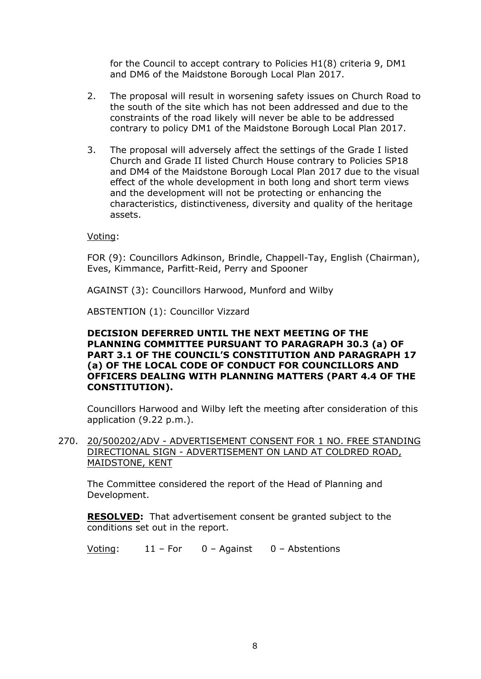for the Council to accept contrary to Policies H1(8) criteria 9, DM1 and DM6 of the Maidstone Borough Local Plan 2017.

- 2. The proposal will result in worsening safety issues on Church Road to the south of the site which has not been addressed and due to the constraints of the road likely will never be able to be addressed contrary to policy DM1 of the Maidstone Borough Local Plan 2017.
- 3. The proposal will adversely affect the settings of the Grade I listed Church and Grade II listed Church House contrary to Policies SP18 and DM4 of the Maidstone Borough Local Plan 2017 due to the visual effect of the whole development in both long and short term views and the development will not be protecting or enhancing the characteristics, distinctiveness, diversity and quality of the heritage assets.

Voting:

FOR (9): Councillors Adkinson, Brindle, Chappell-Tay, English (Chairman), Eves, Kimmance, Parfitt-Reid, Perry and Spooner

AGAINST (3): Councillors Harwood, Munford and Wilby

ABSTENTION (1): Councillor Vizzard

# **DECISION DEFERRED UNTIL THE NEXT MEETING OF THE PLANNING COMMITTEE PURSUANT TO PARAGRAPH 30.3 (a) OF PART 3.1 OF THE COUNCIL'S CONSTITUTION AND PARAGRAPH 17 (a) OF THE LOCAL CODE OF CONDUCT FOR COUNCILLORS AND OFFICERS DEALING WITH PLANNING MATTERS (PART 4.4 OF THE CONSTITUTION).**

Councillors Harwood and Wilby left the meeting after consideration of this application (9.22 p.m.).

270. 20/500202/ADV - ADVERTISEMENT CONSENT FOR 1 NO. FREE STANDING DIRECTIONAL SIGN - ADVERTISEMENT ON LAND AT COLDRED ROAD, MAIDSTONE, KENT

The Committee considered the report of the Head of Planning and Development.

**RESOLVED:** That advertisement consent be granted subject to the conditions set out in the report.

Voting: 11 – For 0 – Against 0 – Abstentions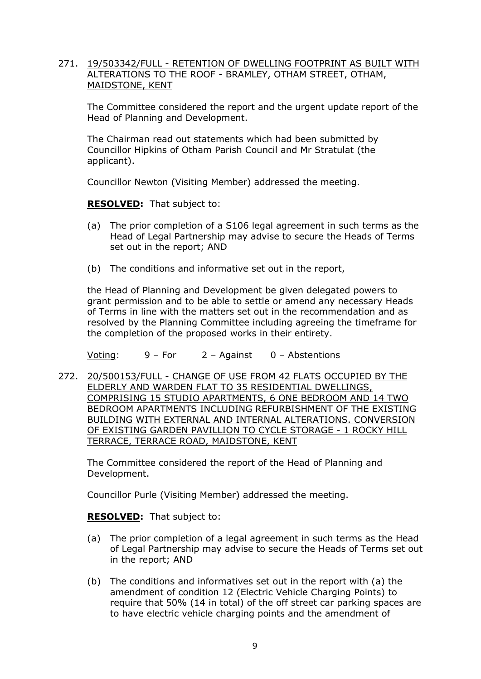# 271. 19/503342/FULL - RETENTION OF DWELLING FOOTPRINT AS BUILT WITH ALTERATIONS TO THE ROOF - BRAMLEY, OTHAM STREET, OTHAM, MAIDSTONE, KENT

The Committee considered the report and the urgent update report of the Head of Planning and Development.

The Chairman read out statements which had been submitted by Councillor Hipkins of Otham Parish Council and Mr Stratulat (the applicant).

Councillor Newton (Visiting Member) addressed the meeting.

**RESOLVED:** That subject to:

- (a) The prior completion of a S106 legal agreement in such terms as the Head of Legal Partnership may advise to secure the Heads of Terms set out in the report; AND
- (b) The conditions and informative set out in the report,

the Head of Planning and Development be given delegated powers to grant permission and to be able to settle or amend any necessary Heads of Terms in line with the matters set out in the recommendation and as resolved by the Planning Committee including agreeing the timeframe for the completion of the proposed works in their entirety.

Voting: 9 – For 2 – Against 0 – Abstentions

272. 20/500153/FULL - CHANGE OF USE FROM 42 FLATS OCCUPIED BY THE ELDERLY AND WARDEN FLAT TO 35 RESIDENTIAL DWELLINGS, COMPRISING 15 STUDIO APARTMENTS, 6 ONE BEDROOM AND 14 TWO BEDROOM APARTMENTS INCLUDING REFURBISHMENT OF THE EXISTING BUILDING WITH EXTERNAL AND INTERNAL ALTERATIONS. CONVERSION OF EXISTING GARDEN PAVILLION TO CYCLE STORAGE - 1 ROCKY HILL TERRACE, TERRACE ROAD, MAIDSTONE, KENT

The Committee considered the report of the Head of Planning and Development.

Councillor Purle (Visiting Member) addressed the meeting.

**RESOLVED:** That subject to:

- (a) The prior completion of a legal agreement in such terms as the Head of Legal Partnership may advise to secure the Heads of Terms set out in the report; AND
- (b) The conditions and informatives set out in the report with (a) the amendment of condition 12 (Electric Vehicle Charging Points) to require that 50% (14 in total) of the off street car parking spaces are to have electric vehicle charging points and the amendment of